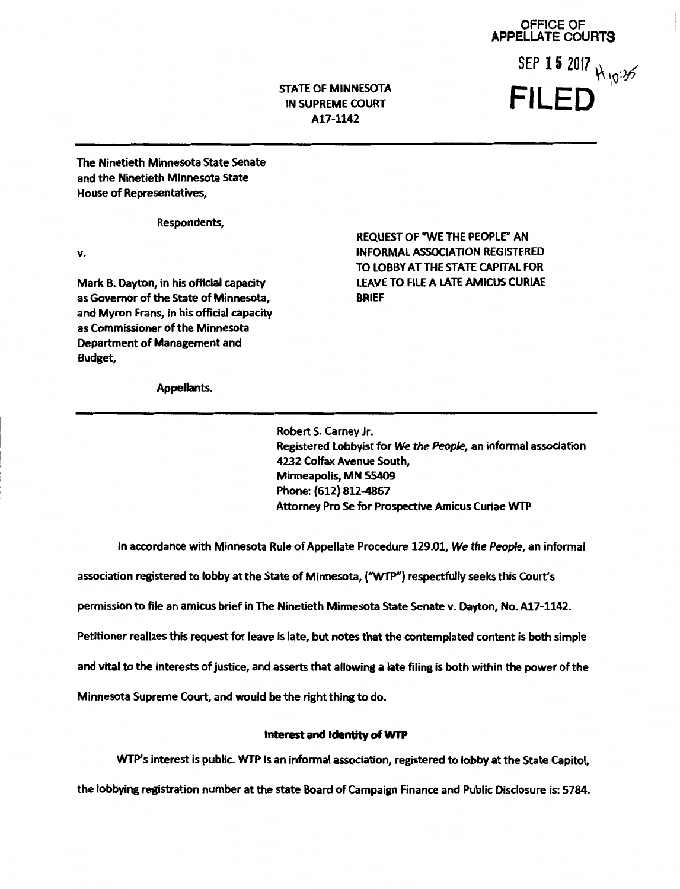OFFICE OF APPELLATE COURTS SEP 15 2017  $\forall$  10:35 FILED

STATE OF MINNESOTA IN SUPREME COURT Al7-1142

The Ninetieth Minnesota State Senate and the Ninetieth Minnesota State House of Representatives,

Respondents,

v.

Mark B. Dayton, in his official capacity as Governor of the State of Minnesota, and Myron Frans, in his official capacity as Commissioner of the Minnesota Department of Management and Budget,

REQUEST OF "WE THE PEOPLE" AN INFORMAL ASSOCIATION REGISTERED TO LOBBY AT THE STATE CAPITAL FOR LEAVE TO FILE A LATE AMICUS CURIAE BRIEF

Appellants.

Robert S. Carney Jr. Registered Lobbyist for We the People, an informal association 4232 Colfax Avenue South, Minneapolis, MN 55409 Phone: (612) 812-4867 Attorney Pro Se for Prospective Amicus Curiae WTP

In accordance with Minnesota Rule of Appellate Procedure 129.01, We the People, an informal

association registered to lobby at the State of Minnesota, ("WTP") respectfully seeks this Court's

permission to file an amicus brief in The Ninetieth Minnesota State Senate v. Dayton, No. A17-1142.

Petitioner realizes this request for leave is late, but notes that the contemplated content is both simple

and vital to the interests of justice, and asserts that allowing a late filing is both within the power of the

Minnesota Supreme Court, and would be the right thing to do.

## Interest and Identity of WTP

WTP's interest is public. WTP is an informal association, registered to lobby at the State Capitol,

the lobbying registration number at the state Board of Campaign Finance and Public Disclosure is: 5784.